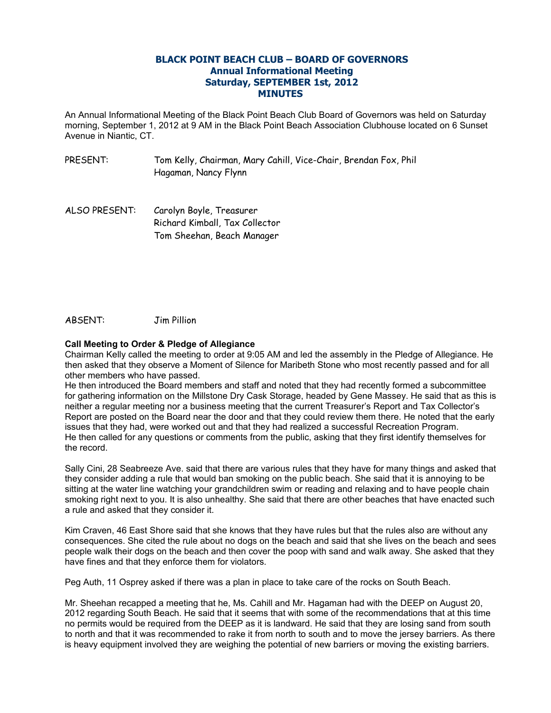## **BLACK POINT BEACH CLUB – BOARD OF GOVERNORS Annual Informational Meeting Saturday, SEPTEMBER 1st, 2012 MINUTES**

An Annual Informational Meeting of the Black Point Beach Club Board of Governors was held on Saturday morning, September 1, 2012 at 9 AM in the Black Point Beach Association Clubhouse located on 6 Sunset Avenue in Niantic, CT.

- PRESENT: Tom Kelly, Chairman, Mary Cahill, Vice-Chair, Brendan Fox, Phil Hagaman, Nancy Flynn
- ALSO PRESENT: Carolyn Boyle, Treasurer Richard Kimball, Tax Collector Tom Sheehan, Beach Manager

ABSENT: Jim Pillion

## **Call Meeting to Order & Pledge of Allegiance**

Chairman Kelly called the meeting to order at 9:05 AM and led the assembly in the Pledge of Allegiance. He then asked that they observe a Moment of Silence for Maribeth Stone who most recently passed and for all other members who have passed.

He then introduced the Board members and staff and noted that they had recently formed a subcommittee for gathering information on the Millstone Dry Cask Storage, headed by Gene Massey. He said that as this is neither a regular meeting nor a business meeting that the current Treasurer's Report and Tax Collector's Report are posted on the Board near the door and that they could review them there. He noted that the early issues that they had, were worked out and that they had realized a successful Recreation Program. He then called for any questions or comments from the public, asking that they first identify themselves for the record.

Sally Cini, 28 Seabreeze Ave. said that there are various rules that they have for many things and asked that they consider adding a rule that would ban smoking on the public beach. She said that it is annoying to be sitting at the water line watching your grandchildren swim or reading and relaxing and to have people chain smoking right next to you. It is also unhealthy. She said that there are other beaches that have enacted such a rule and asked that they consider it.

Kim Craven, 46 East Shore said that she knows that they have rules but that the rules also are without any consequences. She cited the rule about no dogs on the beach and said that she lives on the beach and sees people walk their dogs on the beach and then cover the poop with sand and walk away. She asked that they have fines and that they enforce them for violators.

Peg Auth, 11 Osprey asked if there was a plan in place to take care of the rocks on South Beach.

Mr. Sheehan recapped a meeting that he, Ms. Cahill and Mr. Hagaman had with the DEEP on August 20, 2012 regarding South Beach. He said that it seems that with some of the recommendations that at this time no permits would be required from the DEEP as it is landward. He said that they are losing sand from south to north and that it was recommended to rake it from north to south and to move the jersey barriers. As there is heavy equipment involved they are weighing the potential of new barriers or moving the existing barriers.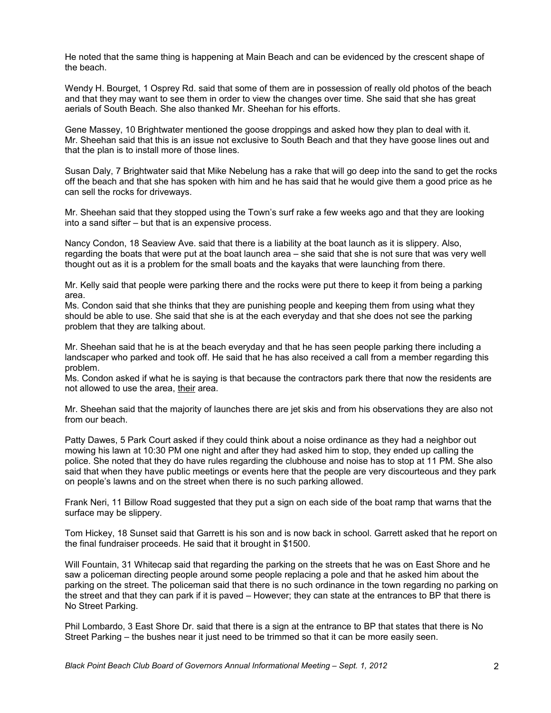He noted that the same thing is happening at Main Beach and can be evidenced by the crescent shape of the beach.

Wendy H. Bourget, 1 Osprey Rd. said that some of them are in possession of really old photos of the beach and that they may want to see them in order to view the changes over time. She said that she has great aerials of South Beach. She also thanked Mr. Sheehan for his efforts.

Gene Massey, 10 Brightwater mentioned the goose droppings and asked how they plan to deal with it. Mr. Sheehan said that this is an issue not exclusive to South Beach and that they have goose lines out and that the plan is to install more of those lines.

Susan Daly, 7 Brightwater said that Mike Nebelung has a rake that will go deep into the sand to get the rocks off the beach and that she has spoken with him and he has said that he would give them a good price as he can sell the rocks for driveways.

Mr. Sheehan said that they stopped using the Town's surf rake a few weeks ago and that they are looking into a sand sifter – but that is an expensive process.

Nancy Condon, 18 Seaview Ave. said that there is a liability at the boat launch as it is slippery. Also, regarding the boats that were put at the boat launch area – she said that she is not sure that was very well thought out as it is a problem for the small boats and the kayaks that were launching from there.

Mr. Kelly said that people were parking there and the rocks were put there to keep it from being a parking area.

Ms. Condon said that she thinks that they are punishing people and keeping them from using what they should be able to use. She said that she is at the each everyday and that she does not see the parking problem that they are talking about.

Mr. Sheehan said that he is at the beach everyday and that he has seen people parking there including a landscaper who parked and took off. He said that he has also received a call from a member regarding this problem.

Ms. Condon asked if what he is saying is that because the contractors park there that now the residents are not allowed to use the area, their area.

Mr. Sheehan said that the majority of launches there are jet skis and from his observations they are also not from our beach.

Patty Dawes, 5 Park Court asked if they could think about a noise ordinance as they had a neighbor out mowing his lawn at 10:30 PM one night and after they had asked him to stop, they ended up calling the police. She noted that they do have rules regarding the clubhouse and noise has to stop at 11 PM. She also said that when they have public meetings or events here that the people are very discourteous and they park on people's lawns and on the street when there is no such parking allowed.

Frank Neri, 11 Billow Road suggested that they put a sign on each side of the boat ramp that warns that the surface may be slippery.

Tom Hickey, 18 Sunset said that Garrett is his son and is now back in school. Garrett asked that he report on the final fundraiser proceeds. He said that it brought in \$1500.

Will Fountain, 31 Whitecap said that regarding the parking on the streets that he was on East Shore and he saw a policeman directing people around some people replacing a pole and that he asked him about the parking on the street. The policeman said that there is no such ordinance in the town regarding no parking on the street and that they can park if it is paved – However; they can state at the entrances to BP that there is No Street Parking.

Phil Lombardo, 3 East Shore Dr. said that there is a sign at the entrance to BP that states that there is No Street Parking – the bushes near it just need to be trimmed so that it can be more easily seen.